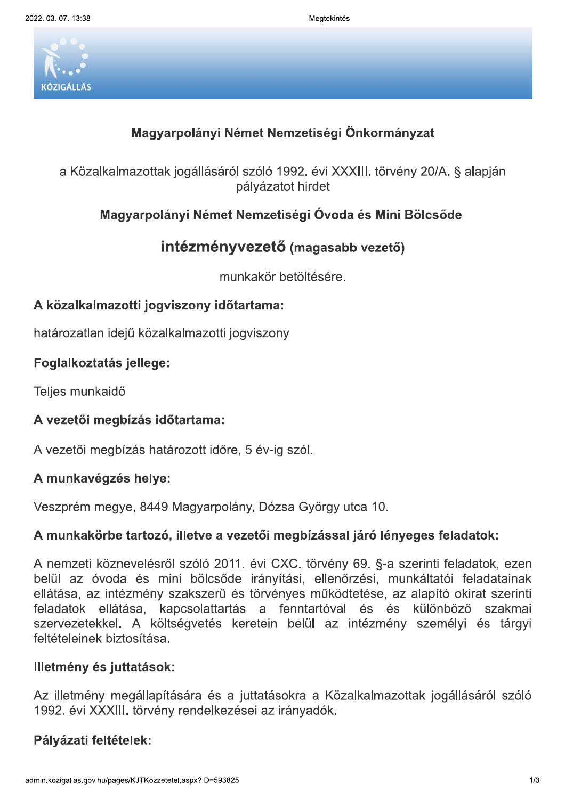gtekintes



Megtekintés<br>
Magyarpolányi Német Nemzetiségi Önkormányzat<br>
a Közalkalmazottak jogállásáról szóló 1992. évi XXXIII. törvény 20/*4*<br>
pályázatot hirdet<br>
Magyarpolányi Német Nemzetiségi Óvoda és Mini Bölcsé<br> **intézményvezető** evi XXXIII. torveny 20/A. § alapjan pályázatot hirdet Magyarpolányi Német Nemzetiségi Önkormányzat<br>
a Közalkalmazottak jogállásáról szóló 1992. évi XXXIII. törvény 20/A. § alapjár<br>
pályázatot hirdet<br>
Magyarpolányi Német Nemzetiségi Óvoda és Mini Bölcsőde<br>
intézményvezető (mag

# intézményvezető (magasabb vezető)

munkakor betoitesere.

## A közalkalmazotti jogviszony időtartama:

natarozatlan ideju kozalkalmazotti jogviszony

### 22222222222222222222222 Fogiaikoztatas jeliege:

Teljes munkaldo

## A vezetői megbízás időtartama:

<u> 1960 - Jan Berlin, martin a</u> A vezetol megbizas hatarozott időre, 5 év-ig szól.

## A munkavégzés helye:

veszprem megye, 8449 Magyarpolany, Dozsa Gyorgy utca 10.

## A munkakörbe tartozó, illetve a vezetői megbízással járó lényeges feladatok:

A nemzeti koznevelesrol szolo 2011. evi CXC. torveny 69. §-a szerinti feladatok, ezen belul az ovoda és mini bölcsöde iranyítási, ellehőrzési, munkaltatól feladátalhak ellatasa, az intezmeny szakszerű és törvenyes működtetése, az alapító okirát szerinti feladatok ellatasa, kapcsolattartas a fenntartoval és és kulonbozó szakmal szervezetekkel. A koltsegvetes keretein belül az intezmeny szemelyi és targyi reltetelelnek biztositasa.

## Illetmény és juttatások:

Az illetmeny megaliapitasara és a juttatasokra a Kozaikalmazottak jogallasarol szoló 1992. evi XXXIII. törveny rendelkezesel az iranyadok.

### 22222222222222222222222 Pályázati feltételek: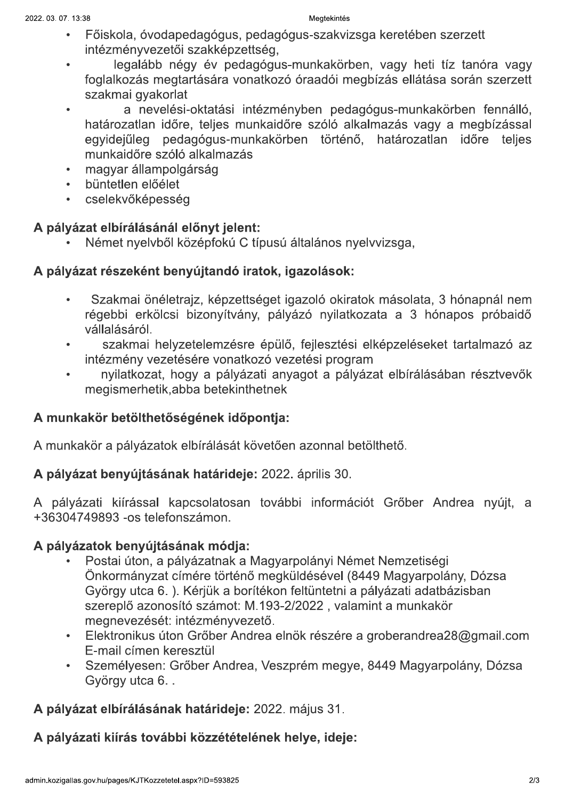### gtekintes

- dagogus, pedagogus-szakvizsga kereteben szerzett intezmenyvezetői szakkepzettség,
- legalabb negy ev pedagogus-munkakorben, vagy heti tiz tahora vagy foglalkozas megtartasara vonatkozo oraadol megbizas ellatasa soran szerzett
- <sup>2022. 03. 07. 13:38</sup><br>
 Főiskola, óvodaped<br>
intézményvezetői s:<br>
 legalább négy<br>
foglalkozás megtart<br>
szakmai gyakorlat<br>
 a nevelési-c<br>
határozatlan időre,<br>
egyidejűleg pedag<br>
munkaidőre szóló a 2022. 03. 07. 13:38<br>
• Főiskola, óvodaped<br>
intézményvezetői sz<br>
• legalább négy<br>
foglalkozás megtart<br>
szakmai gyakorlat<br>
• a nevelési-o<br>
határozatlan időre,<br>
egyidejűleg pedag<br>
munkaidőre szóló a<br>
• magyar állampolgár<br>
• b velesi-oktatasi intezmenyben pedagogus-munkakorben fennallo, hatarozatlan ldore, teljes munkaldore szolo alkalmazas vagy a megbizassal egyidejuleg pedagogus-munkakorben torteno, hatarozatlan idore teljes munkaidőre szóló alkalmazás<br>magyar állampolgárság intézményvezetői szakképzetts<br>
· legalább négy év pedag<br>
foglalkozás megtartására vona<br>
szakmai gyakorlat<br>
· a nevelési-oktatási inte<br>
határozatlan időre, teljes mun<br>
egyidejűleg pedagógus-munk<br>
munkaidőre szóló alkalmazás
	-
	- $\frac{1}{2}$
	- cselekvokepesseg

t hyelvbol kozepfoku C tipusu altalanos hyelvvizsga,

## A pályázat részeként benyújtandó iratok, igazolások:

- határozatlan időre, teljes munka<br>
egyidejűleg pedagógus-munka<br>
munkaidőre szóló alkalmazás<br>
 magyar állampolgárság<br>
 büntetlen előélet<br>
 cselekvőképesség<br> **A pályázat elbírálásánál előnyt jelent:**<br>
 Német nyelvből közé · büntetlen előélet<br>
· cselekvőképesség<br>
A pályázat elbírálásánál el<br>
· Német nyelvből köz<br>
A pályázat részeként beny<br>
· Szakmai önéletraj<br>
régebbi erkölcsi b<br>
vállalásáról.<br>
· szakmai helyzet<br>
intézmény vezetése<br>
· nyilat trajz, kepzettseget igazolo okiratok masolata, 3 honapnal nem regebbi erkoicsi bizonyitvany, palyazo hyllatkozata a 3 honapos probaldo vállalásáról. A pályázat elbírálásánál eletteket köztelteket köztelteket közteltészeként beny<br>
Czakmai önéletraj<br>
Czakmai önéletraj<br>
Czakmai önéletraj<br>
Czakmai önéletraj<br>
Czakmai helyzet<br>
Czakmai helyzet<br>
Czakmai helyzet<br>
Czakmai helyze
	- iyzetelemzesre epulo, fejlesztesi elkepzeleseket tartalmazo az intezmeny vezetesere vonatkozo vezetesi program
	- hyilatkozat, nogy a palyazati anyagot a palyazat elbiralasaban resztvevok megismernetik,abba betekinthethek

## A munkakör betölthetőségének időpontja:

A munkakor a palyazatok elbiralasat kovetoen azonnal betoltheto.

# A <mark>palyazat benyujtasanak hatarideje:</mark> 2022. aprilis 30.

A palyazati kiirassal kapcsolatosan tovabbi informaciot Grober Andrea hyujt, a +36304749893 -os telefonszamon.

- A munkakör a pályázatok elbírálását követően azonnal betöl<br> **A pályázat benyújtásának határideje:** 2022. április 30.<br>
A pályázati kiírással kapcsolatosan további információt<br>
+36304749893 -os telefonszámon.<br> **A pályázatok** t Nemzetisegi Onkormanyzat cimere torteno megkuldesevel (8449 Magyarpolany, Dozsa Gyorgy utca 6. ). Kerjuk a boritekon feltuntetni a palyazati adatbazisban szerepio azonosíto szamot: M.193-2/2022 , valamint a munkakor megnevezeset: Intezmenyvezeto.<br>———————————————————— +36304749893 -os telefonszámon.<br>
A pályázatok benyújtásának módja:<br>
• Postai úton, a pályázatnak a Magya<br>
Önkormányzat címére történő megl<br>
György utca 6. ). Kérjük a borítékor<br>
szereplő azonosító számot: M.193-<br>
megnevezé
	- ktronikus uton Grober Andrea einok reszere a groberandreaz $8@$ gmail.com E-mail cimen keresztül
	- Szemelyesen: Grober Andrea, Veszprem megye, 8449 Magyarpolany, Dozsa Gyorgy utca b. .

# **A palyazat elbiralasanak hatarideje:** 2022. majus 31.

## A pályázati kiírás további közzétételének helye, ideje: